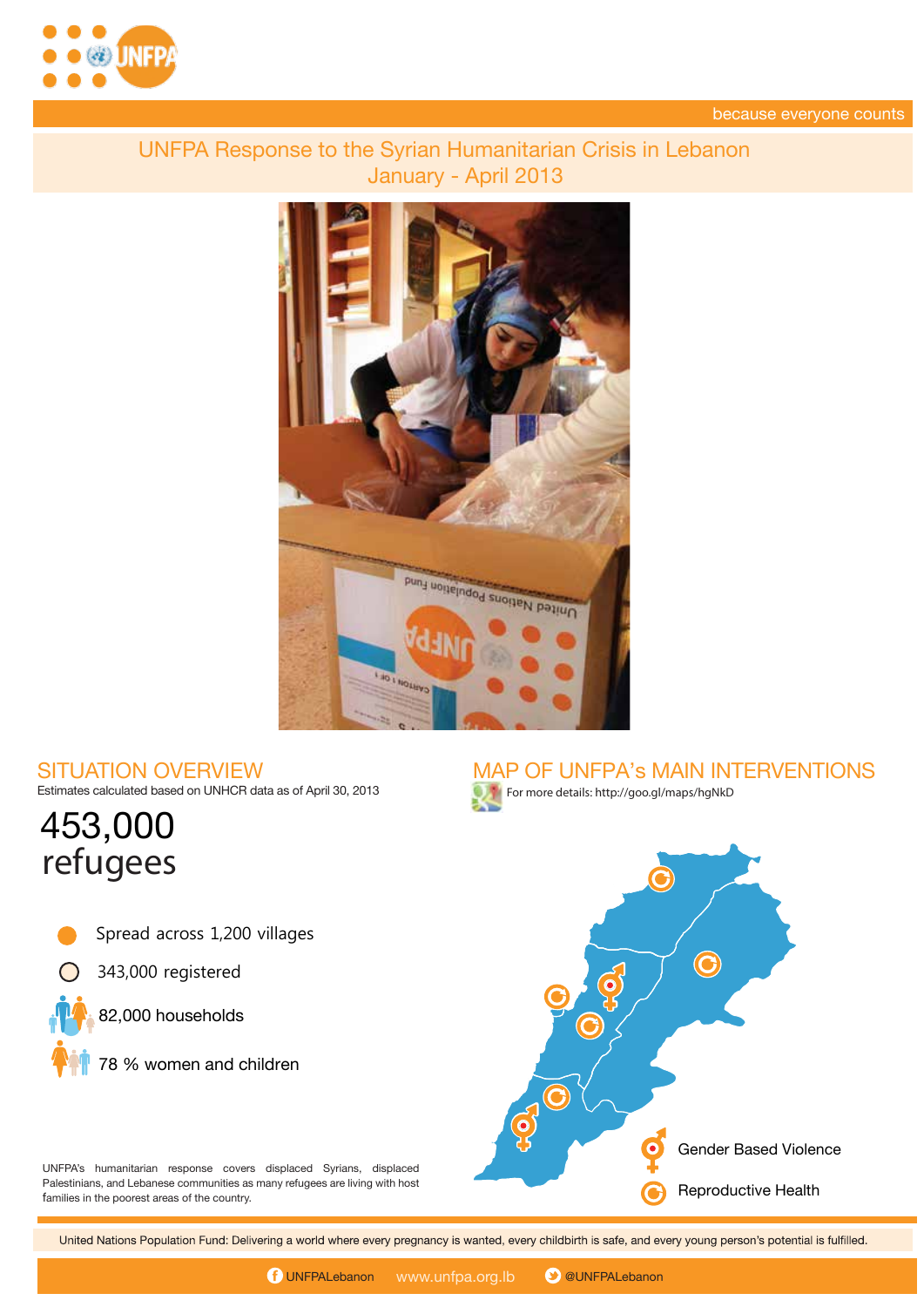



## **UNFPA Response to the Syrian Humanitarian Crisis in Lebanon** January - April 2013



## **SITUATION OVERVIEW**

Estimates calculated based on UNHCR data as of April 30, 2013

# **453,000** refugees

- Spread across 1,200 villages
- 343,000 registered



**78 % women and children**





UNFPA's humanitarian response covers displaced Syrians, displaced Palestinians, and Lebanese communities as many refugees are living with host families in the poorest areas of the country.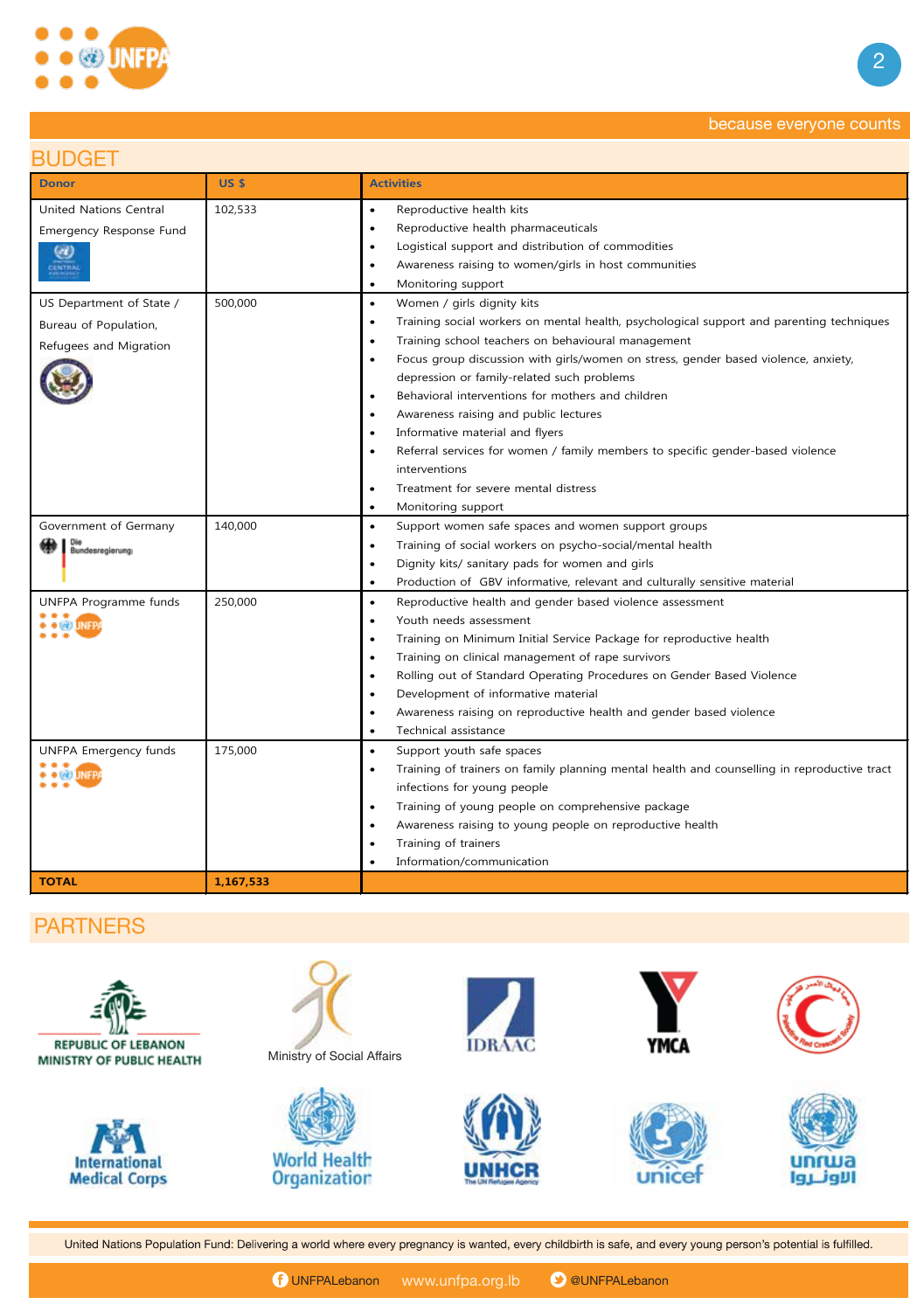

## because everyone counts because everyone counts

## **BUDGET**

| <b>Donor</b>                                                                              | <b>US \$</b>       | <b>Activities</b>                                                                                                                                                                                                                                                                                                                                                                                                                                                                                                                                                                                                                                  |
|-------------------------------------------------------------------------------------------|--------------------|----------------------------------------------------------------------------------------------------------------------------------------------------------------------------------------------------------------------------------------------------------------------------------------------------------------------------------------------------------------------------------------------------------------------------------------------------------------------------------------------------------------------------------------------------------------------------------------------------------------------------------------------------|
| <b>United Nations Central</b><br>Emergency Response Fund<br>$\left( d \right)$<br>CENTRAL | 102,533            | Reproductive health kits<br>$\bullet$<br>Reproductive health pharmaceuticals<br>$\bullet$<br>Logistical support and distribution of commodities<br>$\bullet$<br>Awareness raising to women/girls in host communities<br>٠<br>Monitoring support<br>$\bullet$                                                                                                                                                                                                                                                                                                                                                                                       |
| US Department of State /<br>Bureau of Population,<br>Refugees and Migration               | 500,000            | Women / girls dignity kits<br>$\bullet$<br>Training social workers on mental health, psychological support and parenting techniques<br>$\bullet$<br>Training school teachers on behavioural management<br>٠<br>Focus group discussion with girls/women on stress, gender based violence, anxiety,<br>$\bullet$<br>depression or family-related such problems<br>Behavioral interventions for mothers and children<br>٠<br>Awareness raising and public lectures<br>Informative material and flyers<br>٠<br>Referral services for women / family members to specific gender-based violence<br>interventions<br>Treatment for severe mental distress |
| Government of Germany<br>Die<br>Bundesregierung<br>UNFPA Programme funds<br>• •©DJINFP    | 140,000<br>250,000 | Monitoring support<br>$\bullet$<br>Support women safe spaces and women support groups<br>$\bullet$<br>Training of social workers on psycho-social/mental health<br>$\bullet$<br>Dignity kits/ sanitary pads for women and girls<br>$\bullet$<br>Production of GBV informative, relevant and culturally sensitive material<br>$\bullet$<br>Reproductive health and gender based violence assessment<br>$\bullet$<br>Youth needs assessment<br>$\bullet$<br>Training on Minimum Initial Service Package for reproductive health<br>$\bullet$<br>Training on clinical management of rape survivors<br>$\bullet$                                       |
| UNFPA Emergency funds<br><b>DECATIONED</b>                                                | 175,000            | Rolling out of Standard Operating Procedures on Gender Based Violence<br>Development of informative material<br>٠<br>Awareness raising on reproductive health and gender based violence<br>Technical assistance<br>Support youth safe spaces<br>$\bullet$<br>Training of trainers on family planning mental health and counselling in reproductive tract<br>٠<br>infections for young people                                                                                                                                                                                                                                                       |
| <b>TOTAL</b>                                                                              | 1,167,533          | Training of young people on comprehensive package<br>Awareness raising to young people on reproductive health<br>٠<br>Training of trainers<br>$\bullet$<br>Information/communication                                                                                                                                                                                                                                                                                                                                                                                                                                                               |

#### **PARTNERS**

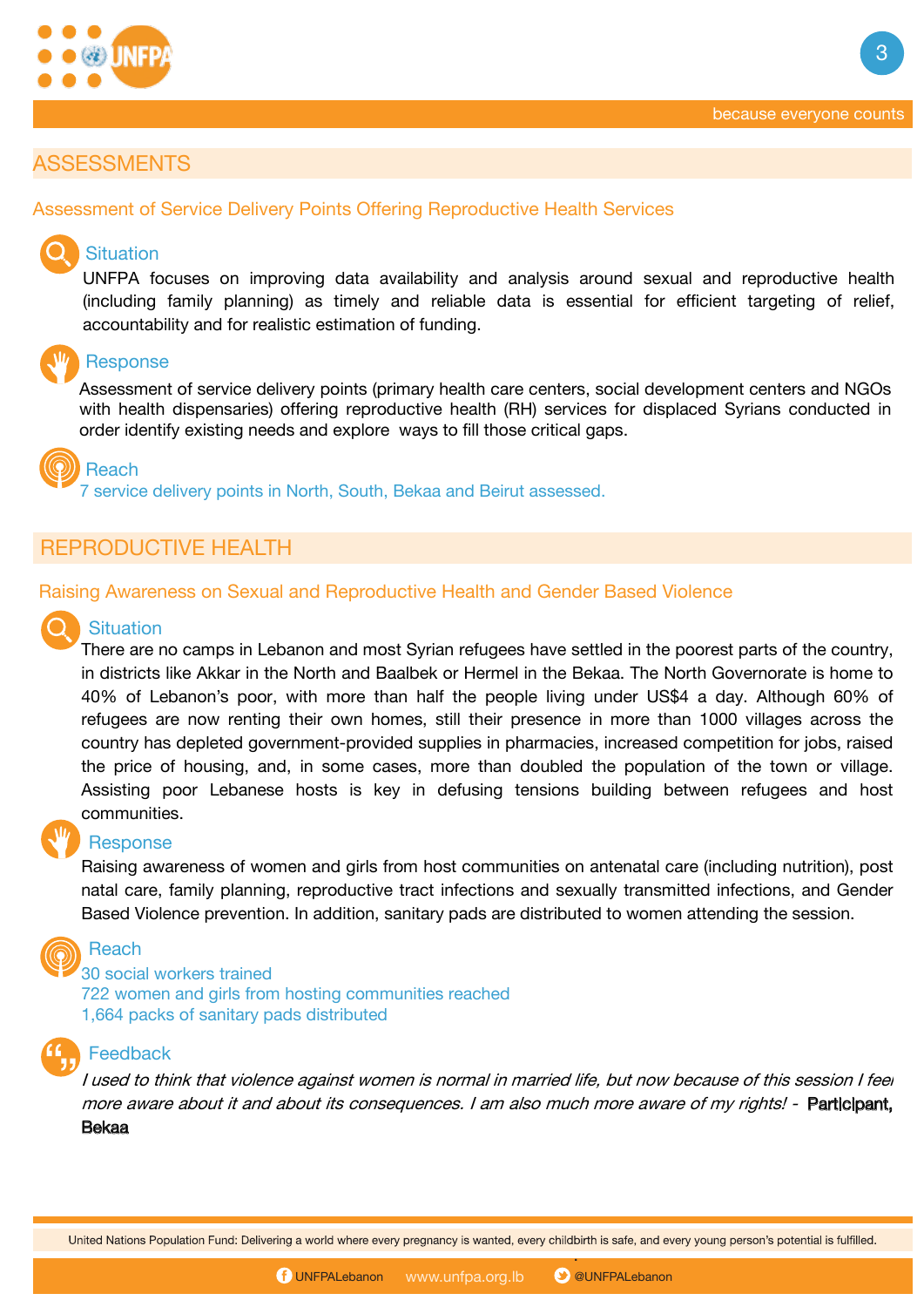

**3**

#### **ASSESSMENTS**

#### **Assessment of Service Delivery Points Offering Reproductive Health Services**

#### **Situation**

UNFPA focuses on improving data availability and analysis around sexual and reproductive health (including family planning) as timely and reliable data is essential for efficient targeting of relief, accountability and for realistic estimation of funding.

#### **Response**

Assessment of service delivery points (primary health care centers, social development centers and NGOs with health dispensaries) offering reproductive health (RH) services for displaced Syrians conducted in order identify existing needs and explore ways to fill those critical gaps.

**Reach**

7 service delivery points in North, South, Bekaa and Beirut assessed.

#### **REPRODUCTIVE HEALTH**

#### **Raising Awareness on Sexual and Reproductive Health and Gender Based Violence**

#### **Situation**

There are no camps in Lebanon and most Syrian refugees have settled in the poorest parts of the country, in districts like Akkar in the North and Baalbek or Hermel in the Bekaa. The North Governorate is home to 40% of Lebanon's poor, with more than half the people living under US\$4 a day. Although 60% of refugees are now renting their own homes, still their presence in more than 1000 villages across the country has depleted government-provided supplies in pharmacies, increased competition for jobs, raised the price of housing, and, in some cases, more than doubled the population of the town or village. Assisting poor Lebanese hosts is key in defusing tensions building between refugees and host communities.

#### **Response**

Raising awareness of women and girls from host communities on antenatal care (including nutrition), post natal care, family planning, reproductive tract infections and sexually transmitted infections, and Gender Based Violence prevention. In addition, sanitary pads are distributed to women attending the session.



30 social workers trained 722 women and girls from hosting communities reached 1,664 packs of sanitary pads distributed



#### **Feedback**

I used to think that violence against women is normal in married life, but now because of this session I feel more aware about it and about its consequences. I am also much more aware of my rights! - Participant, Bekaa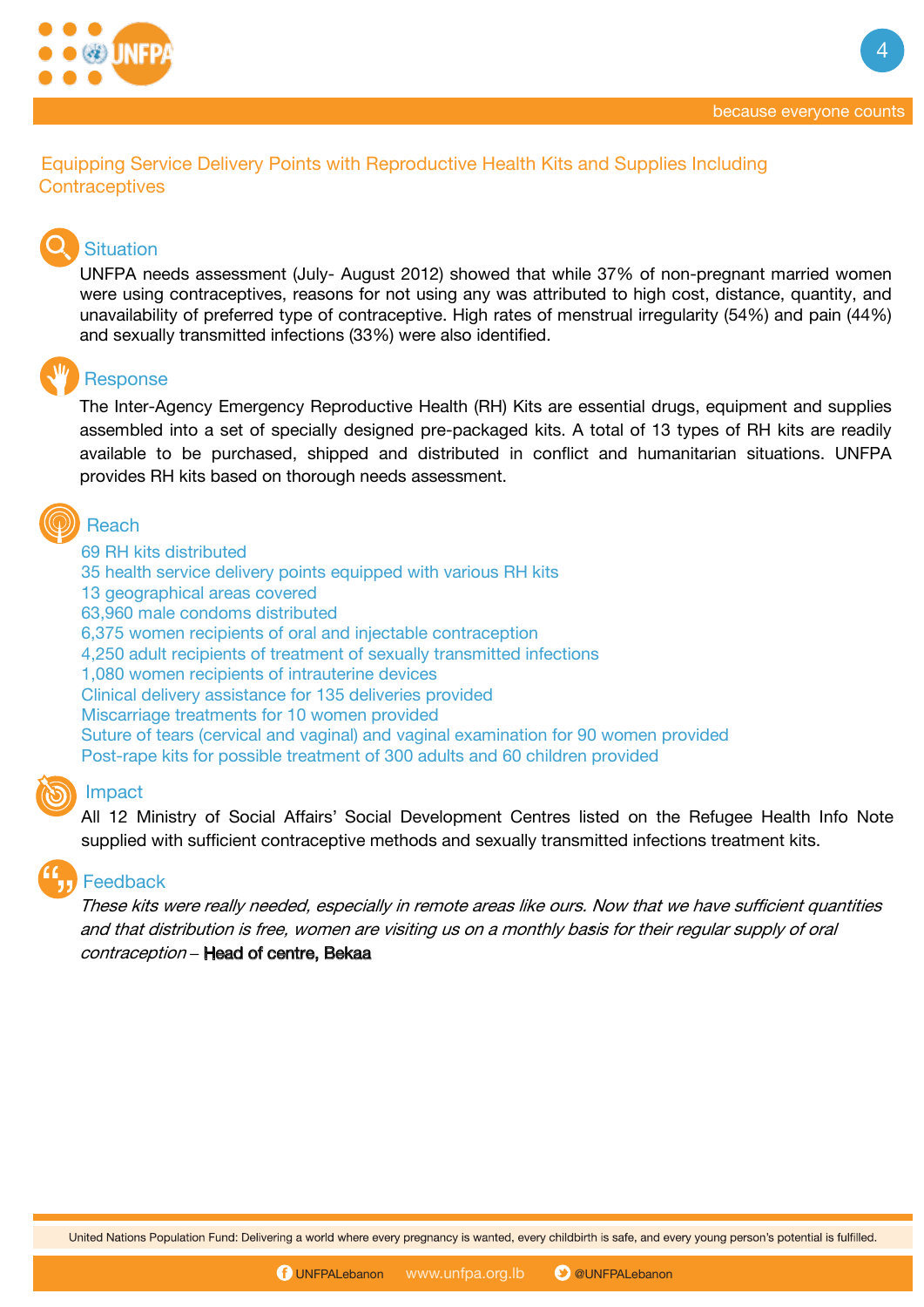

**4**



## **Situation**

UNFPA needs assessment (July- August 2012) showed that while 37% of non-pregnant married women were using contraceptives, reasons for not using any was attributed to high cost, distance, quantity, and unavailability of preferred type of contraceptive. High rates of menstrual irregularity (54%) and pain (44%) and sexually transmitted infections (33%) were also identified.

### **Response**

The Inter-Agency Emergency Reproductive Health (RH) Kits are essential drugs, equipment and supplies assembled into a set of specially designed pre-packaged kits. A total of 13 types of RH kits are readily available to be purchased, shipped and distributed in conflict and humanitarian situations. UNFPA provides RH kits based on thorough needs assessment.

## **Reach**

69 RH kits distributed 35 health service delivery points equipped with various RH kits 13 geographical areas covered 63,960 male condoms distributed 6,375 women recipients of oral and injectable contraception 4,250 adult recipients of treatment of sexually transmitted infections 1,080 women recipients of intrauterine devices Clinical delivery assistance for 135 deliveries provided Miscarriage treatments for 10 women provided Suture of tears (cervical and vaginal) and vaginal examination for 90 women provided Post-rape kits for possible treatment of 300 adults and 60 children provided

#### **Impact**

All 12 Ministry of Social Affairs' Social Development Centres listed on the Refugee Health Info Note supplied with sufficient contraceptive methods and sexually transmitted infections treatment kits.

#### **Feedback**

. and that distribution is free, women are visiting us on <sup>a</sup> monthly basis for their regular supply of oral These kits were really needed, especially in remote areas like ours. Now that we have sufficient quantities contraception **–** Head of centre, Bekaa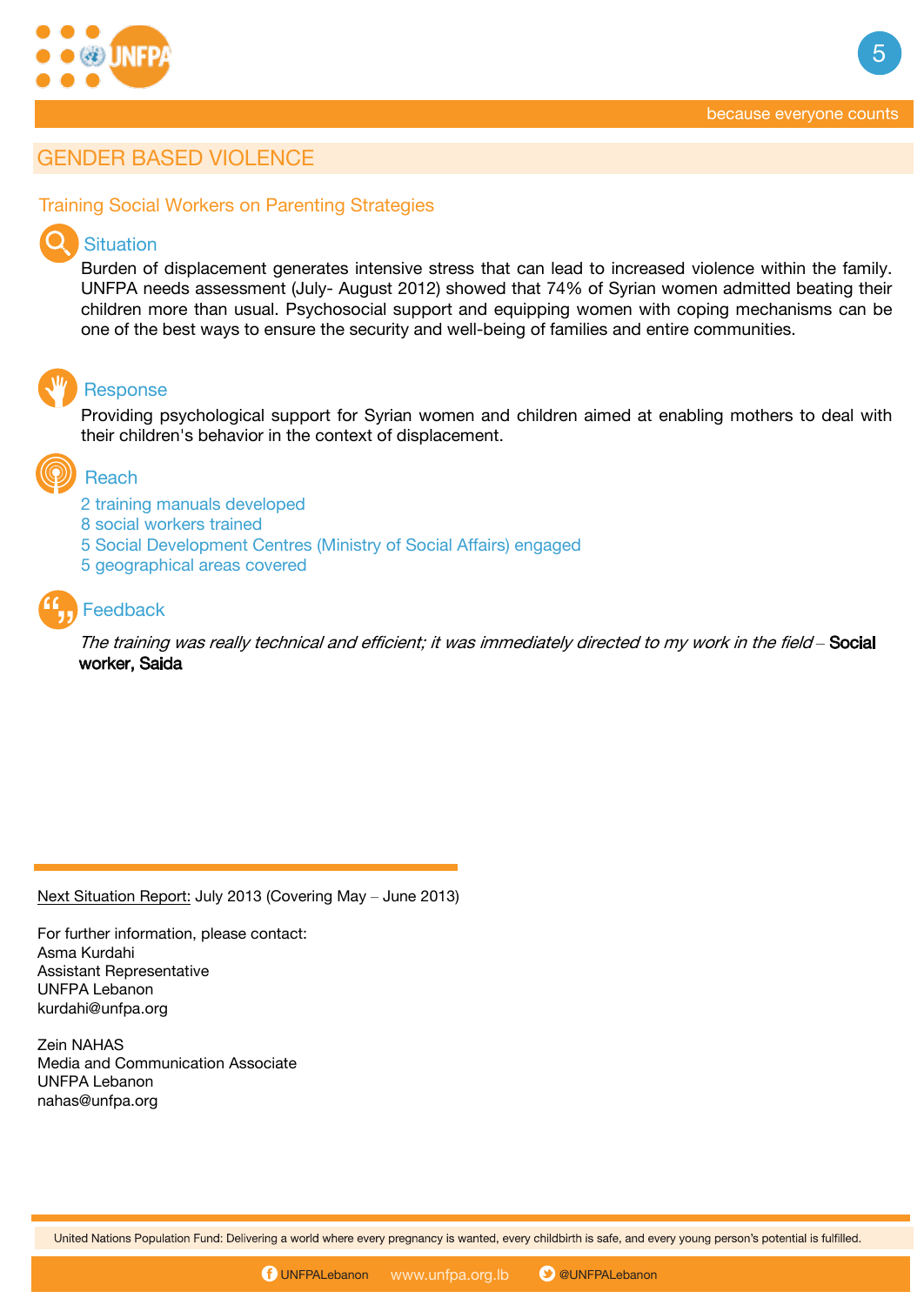

**5**

### **GENDER BASED VIOLENCE**

#### **Training Social Workers on Parenting Strategies**

#### **Situation**

Burden of displacement generates intensive stress that can lead to increased violence within the family. UNFPA needs assessment (July- August 2012) showed that 74% of Syrian women admitted beating their children more than usual. Psychosocial support and equipping women with coping mechanisms can be one of the best ways to ensure the security and well-being of families and entire communities.

#### **Response**

Providing psychological support for Syrian women and children aimed at enabling mothers to deal with their children's behavior in the context of displacement.

## **Reach**

- 2 training manuals developed
- 8 social workers trained
- 5 Social Development Centres (Ministry of Social Affairs) engaged
- 5 geographical areas covered

## **Feedback**

The training was really technical and efficient; it was immediately directed to my work in the field *–* Social worker, Saida

Next Situation Report: July 2013 (Covering May – June 2013)

For further information, please contact: Asma Kurdahi Assistant Representative UNFPA Lebanon kurdahi@unfpa.org

Zein NAHAS Media and Communication Associate UNFPA Lebanon nahas@unfpa.org